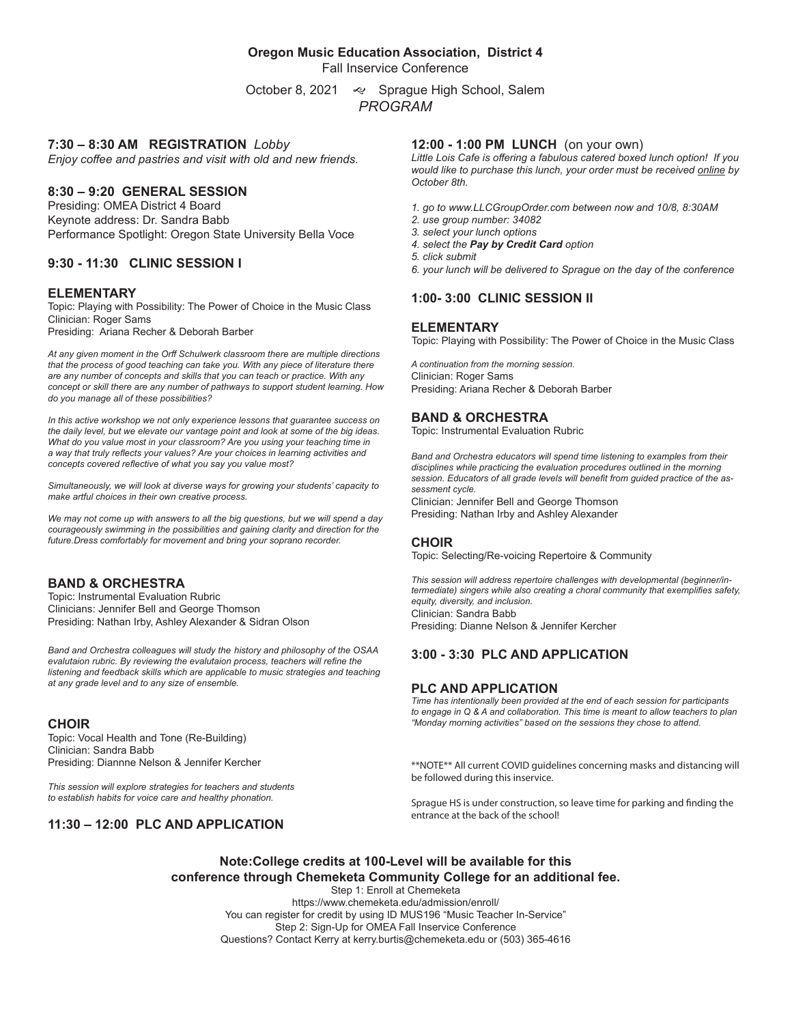#### **Oregon Music Education Association, District 4**

Fall Inservice Conference

October 8, 2021 « Sprague High School, Salem *PROGRAM*

#### **7:30 – 8:30 AM REGISTRATION** *Lobby*

*Enjoy coffee and pastries and visit with old and new friends.*

#### **8:30 – 9:20 GENERAL SESSION**

Presiding: OMEA District 4 Board Keynote address: Dr. Sandra Babb Performance Spotlight: Oregon State University Bella Voce

#### **9:30 - 11:30 CLINIC SESSION I**

#### **ELEMENTARY**

Topic: Playing with Possibility: The Power of Choice in the Music Class Clinician: Roger Sams Presiding: Ariana Recher & Deborah Barber

*At any given moment in the Orff Schulwerk classroom there are multiple directions that the process of good teaching can take you. With any piece of literature there are any number of concepts and skills that you can teach or practice. With any concept or skill there are any number of pathways to support student learning. How do you manage all of these possibilities?* 

*In this active workshop we not only experience lessons that guarantee success on the daily level, but we elevate our vantage point and look at some of the big ideas. What do you value most in your classroom? Are you using your teaching time in a way that truly reflects your values? Are your choices in learning activities and concepts covered reflective of what you say you value most?*

*Simultaneously, we will look at diverse ways for growing your students' capacity to make artful choices in their own creative process.*

*We may not come up with answers to all the big questions, but we will spend a day courageously swimming in the possibilities and gaining clarity and direction for the future.Dress comfortably for movement and bring your soprano recorder.*

#### **BAND & ORCHESTRA**

Topic: Instrumental Evaluation Rubric Clinicians: Jennifer Bell and George Thomson Presiding: Nathan Irby, Ashley Alexander & Sidran Olson

*Band and Orchestra colleagues will study the history and philosophy of the OSAA evalutaion rubric. By reviewing the evalutaion process, teachers will refine the*  listening and feedback skills which are applicable to music strategies and teaching *at any grade level and to any size of ensemble.* 

#### **CHOIR**

Topic: Vocal Health and Tone (Re-Building) Clinician: Sandra Babb Presiding: Diannne Nelson & Jennifer Kercher

*This session will explore strategies for teachers and students to establish habits for voice care and healthy phonation.*

## **11:30 – 12:00 PLC AND APPLICATION**

#### **12:00 - 1:00 PM LUNCH** (on your own)

*Little Lois Cafe is offering a fabulous catered boxed lunch option! If you would like to purchase this lunch, your order must be received online by October 8th.* 

- *1. go to www.LLCGroupOrder.com between now and 10/8, 8:30AM*
- *2. use group number: 34082*
- *3. select your lunch options*
- *4. select the Pay by Credit Card option*
- *5. click submit*
- *6. your lunch will be delivered to Sprague on the day of the conference*

#### **1:00- 3:00 CLINIC SESSION II**

#### **ELEMENTARY**

Topic: Playing with Possibility: The Power of Choice in the Music Class

*A continuation from the morning session.* Clinician: Roger Sams Presiding: Ariana Recher & Deborah Barber

#### **BAND & ORCHESTRA**

Topic: Instrumental Evaluation Rubric

*Band and Orchestra educators will spend time listening to examples from their disciplines while practicing the evaluation procedures outlined in the morning session. Educators of all grade levels will benefit from guided practice of the assessment cycle.*

Clinician: Jennifer Bell and George Thomson Presiding: Nathan Irby and Ashley Alexander

#### **CHOIR**

Topic: Selecting/Re-voicing Repertoire & Community

*This session will address repertoire challenges with developmental (beginner/intermediate) singers while also creating a choral community that exemplifies safety, equity, diversity, and inclusion.*  Clinician: Sandra Babb Presiding: Dianne Nelson & Jennifer Kercher

## **3:00 - 3:30 PLC AND APPLICATION**

#### **PLC AND APPLICATION**

*Time has intentionally been provided at the end of each session for participants to engage in Q & A and collaboration. This time is meant to allow teachers to plan "Monday morning activities" based on the sessions they chose to attend.*

\*\*NOTE\*\* All current COVID guidelines concerning masks and distancing will be followed during this inservice.

Sprague HS is under construction, so leave time for parking and finding the entrance at the back of the school!

## **Note:College credits at 100-Level will be available for this conference through Chemeketa Community College for an additional fee.**

Step 1: Enroll at Chemeketa https://www.chemeketa.edu/admission/enroll/ You can register for credit by using ID MUS196 "Music Teacher In-Service" Step 2: Sign-Up for OMEA Fall Inservice Conference Questions? Contact Kerry at kerry.burtis@chemeketa.edu or (503) 365-4616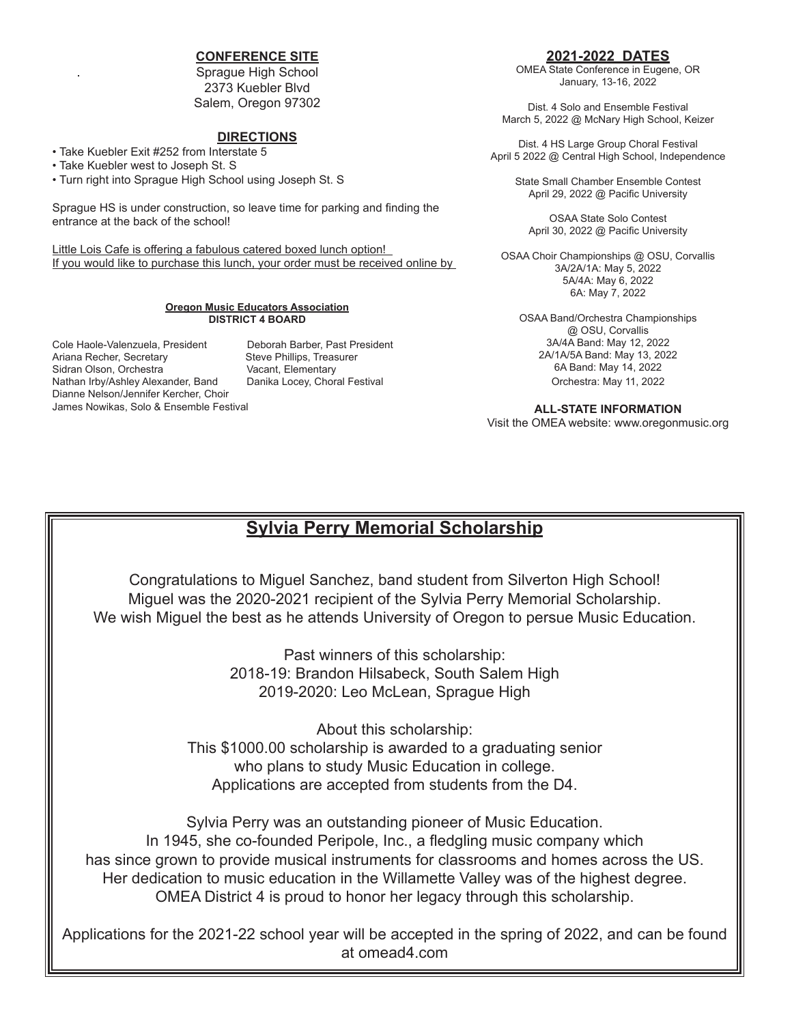## **CONFERENCE SITE**

Sprague High School 2373 Kuebler Blvd Salem, Oregon 97302

### **DIRECTIONS**

• Take Kuebler Exit #252 from Interstate 5

• Take Kuebler west to Joseph St. S

• Turn right into Sprague High School using Joseph St. S

Sprague HS is under construction, so leave time for parking and finding the entrance at the back of the school!

Little Lois Cafe is offering a fabulous catered boxed lunch option! If you would like to purchase this lunch, your order must be received online by

#### **Oregon Music Educators Association DISTRICT 4 BOARD**

Cole Haole-Valenzuela, President Deborah Barber, Past President Ariana Recher, Secretary Steve Phillips, Treasurer Sidran Olson, Orchestra **Vacant, Elementary**<br>Nathan Irby/Ashley Alexander, Band Danika Locey, Choral Festival Nathan Irby/Ashley Alexander, Band Dianne Nelson/Jennifer Kercher, Choir James Nowikas, Solo & Ensemble Festival

## **2021-2022 DATES**

OMEA State Conference in Eugene, OR January, 13-16, 2022

Dist. 4 Solo and Ensemble Festival March 5, 2022 @ McNary High School, Keizer

Dist. 4 HS Large Group Choral Festival April 5 2022 @ Central High School, Independence

> State Small Chamber Ensemble Contest April 29, 2022 @ Pacific University

OSAA State Solo Contest April 30, 2022 @ Pacific University

OSAA Choir Championships @ OSU, Corvallis 3A/2A/1A: May 5, 2022 5A/4A: May 6, 2022 6A: May 7, 2022

> OSAA Band/Orchestra Championships @ OSU, Corvallis 3A/4A Band: May 12, 2022 2A/1A/5A Band: May 13, 2022 6A Band: May 14, 2022 Orchestra: May 11, 2022

**ALL-STATE INFORMATION** Visit the OMEA website: www.oregonmusic.org

# **Sylvia Perry Memorial Scholarship**

Congratulations to Miguel Sanchez, band student from Silverton High School! Miguel was the 2020-2021 recipient of the Sylvia Perry Memorial Scholarship. We wish Miguel the best as he attends University of Oregon to persue Music Education.

> Past winners of this scholarship: 2018-19: Brandon Hilsabeck, South Salem High 2019-2020: Leo McLean, Sprague High

About this scholarship: This \$1000.00 scholarship is awarded to a graduating senior who plans to study Music Education in college. Applications are accepted from students from the D4.

Sylvia Perry was an outstanding pioneer of Music Education. In 1945, she co-founded Peripole, Inc., a fledgling music company which has since grown to provide musical instruments for classrooms and homes across the US. Her dedication to music education in the Willamette Valley was of the highest degree. OMEA District 4 is proud to honor her legacy through this scholarship.

Applications for the 2021-22 school year will be accepted in the spring of 2022, and can be found at omead4.com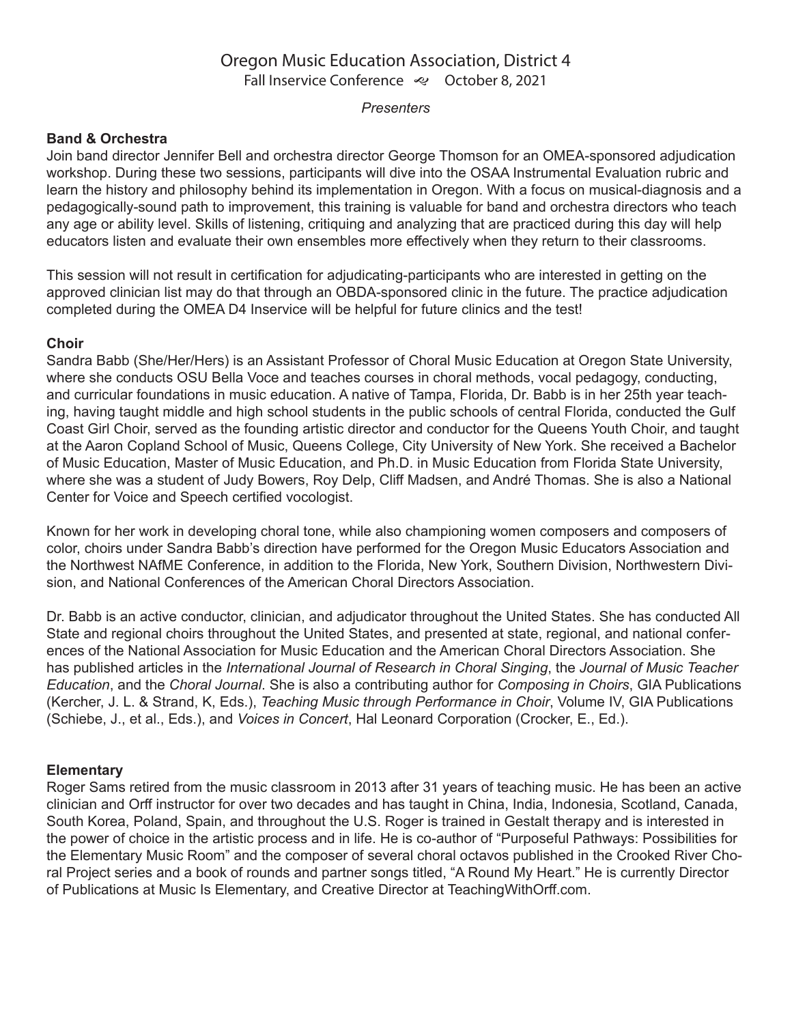## Oregon Music Education Association, District 4 Fall Inservice Conference <>>
October 8, 2021

## *Presenters*

## **Band & Orchestra**

Join band director Jennifer Bell and orchestra director George Thomson for an OMEA-sponsored adjudication workshop. During these two sessions, participants will dive into the OSAA Instrumental Evaluation rubric and learn the history and philosophy behind its implementation in Oregon. With a focus on musical-diagnosis and a pedagogically-sound path to improvement, this training is valuable for band and orchestra directors who teach any age or ability level. Skills of listening, critiquing and analyzing that are practiced during this day will help educators listen and evaluate their own ensembles more effectively when they return to their classrooms.

This session will not result in certification for adjudicating-participants who are interested in getting on the approved clinician list may do that through an OBDA-sponsored clinic in the future. The practice adjudication completed during the OMEA D4 Inservice will be helpful for future clinics and the test!

## **Choir**

Sandra Babb (She/Her/Hers) is an Assistant Professor of Choral Music Education at Oregon State University, where she conducts OSU Bella Voce and teaches courses in choral methods, vocal pedagogy, conducting, and curricular foundations in music education. A native of Tampa, Florida, Dr. Babb is in her 25th year teaching, having taught middle and high school students in the public schools of central Florida, conducted the Gulf Coast Girl Choir, served as the founding artistic director and conductor for the Queens Youth Choir, and taught at the Aaron Copland School of Music, Queens College, City University of New York. She received a Bachelor of Music Education, Master of Music Education, and Ph.D. in Music Education from Florida State University, where she was a student of Judy Bowers, Roy Delp, Cliff Madsen, and André Thomas. She is also a National Center for Voice and Speech certified vocologist.

Known for her work in developing choral tone, while also championing women composers and composers of color, choirs under Sandra Babb's direction have performed for the Oregon Music Educators Association and the Northwest NAfME Conference, in addition to the Florida, New York, Southern Division, Northwestern Division, and National Conferences of the American Choral Directors Association.

Dr. Babb is an active conductor, clinician, and adjudicator throughout the United States. She has conducted All State and regional choirs throughout the United States, and presented at state, regional, and national conferences of the National Association for Music Education and the American Choral Directors Association. She has published articles in the *International Journal of Research in Choral Singing*, the *Journal of Music Teacher Education*, and the *Choral Journal*. She is also a contributing author for *Composing in Choirs*, GIA Publications (Kercher, J. L. & Strand, K, Eds.), *Teaching Music through Performance in Choir*, Volume IV, GIA Publications (Schiebe, J., et al., Eds.), and *Voices in Concert*, Hal Leonard Corporation (Crocker, E., Ed.).

## **Elementary**

Roger Sams retired from the music classroom in 2013 after 31 years of teaching music. He has been an active clinician and Orff instructor for over two decades and has taught in China, India, Indonesia, Scotland, Canada, South Korea, Poland, Spain, and throughout the U.S. Roger is trained in Gestalt therapy and is interested in the power of choice in the artistic process and in life. He is co-author of "Purposeful Pathways: Possibilities for the Elementary Music Room" and the composer of several choral octavos published in the Crooked River Choral Project series and a book of rounds and partner songs titled, "A Round My Heart." He is currently Director of Publications at Music Is Elementary, and Creative Director at TeachingWithOrff.com.